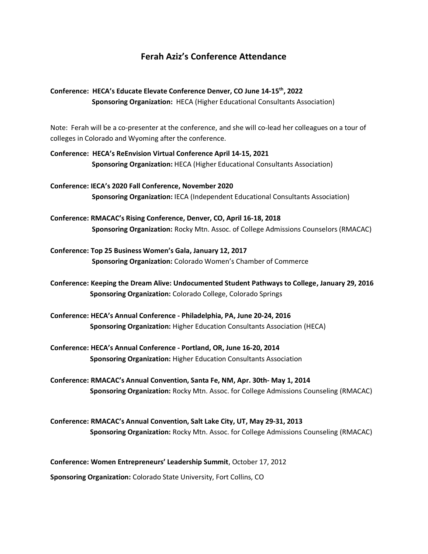## **Ferah Aziz's Conference Attendance**

## **Conference: HECA's Educate Elevate Conference Denver, CO June 14-15th, 2022 Sponsoring Organization:** HECA (Higher Educational Consultants Association)

Note: Ferah will be a co-presenter at the conference, and she will co-lead her colleagues on a tour of colleges in Colorado and Wyoming after the conference.

- **Conference: HECA's ReEnvision Virtual Conference April 14-15, 2021 Sponsoring Organization:** HECA (Higher Educational Consultants Association)
- **Conference: IECA's 2020 Fall Conference, November 2020 Sponsoring Organization:** IECA (Independent Educational Consultants Association)
- **Conference: RMACAC's Rising Conference, Denver, CO, April 16-18, 2018 Sponsoring Organization:** Rocky Mtn. Assoc. of College Admissions Counselors (RMACAC)
- **Conference: Top 25 Business Women's Gala, January 12, 2017 Sponsoring Organization:** Colorado Women's Chamber of Commerce
- **Conference: Keeping the Dream Alive: Undocumented Student Pathways to College, January 29, 2016 Sponsoring Organization:** Colorado College, Colorado Springs
- **Conference: HECA's Annual Conference - Philadelphia, PA, June 20-24, 2016 Sponsoring Organization:** Higher Education Consultants Association (HECA)
- **Conference: HECA's Annual Conference - Portland, OR, June 16-20, 2014 Sponsoring Organization:** Higher Education Consultants Association
- **Conference: RMACAC's Annual Convention, Santa Fe, NM, Apr. 30th- May 1, 2014 Sponsoring Organization:** Rocky Mtn. Assoc. for College Admissions Counseling (RMACAC)
- **Conference: RMACAC's Annual Convention, Salt Lake City, UT, May 29-31, 2013 Sponsoring Organization:** Rocky Mtn. Assoc. for College Admissions Counseling (RMACAC)

**Conference: Women Entrepreneurs' Leadership Summit**, October 17, 2012

**Sponsoring Organization:** Colorado State University, Fort Collins, CO